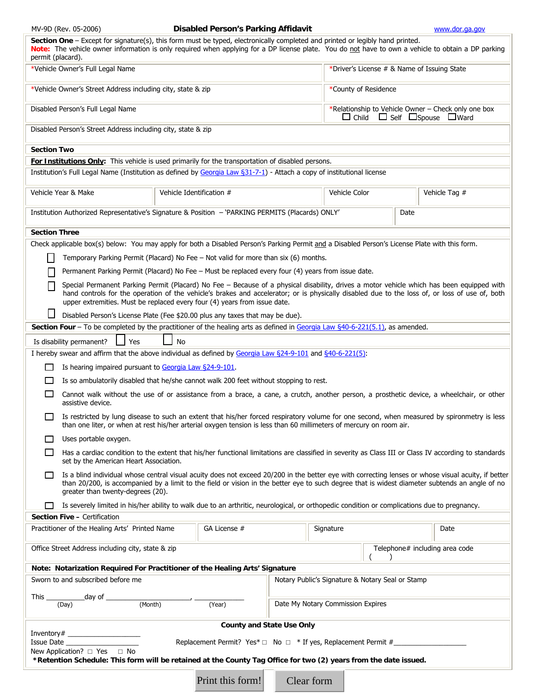|  |  | MV-9D (Rev. 05-2006) |
|--|--|----------------------|
|--|--|----------------------|

#### **Disabled Person's Parking Affidavit**  WWW.dor.ga.gov

| Section One - Except for signature(s), this form must be typed, electronically completed and printed or legibly hand printed.<br>Note: The vehicle owner information is only required when applying for a DP license plate. You do not have to own a vehicle to obtain a DP parking<br>permit (placard).                                                                 |                                                                                                    |              |  |               |                                                                                                           |                                |  |  |
|--------------------------------------------------------------------------------------------------------------------------------------------------------------------------------------------------------------------------------------------------------------------------------------------------------------------------------------------------------------------------|----------------------------------------------------------------------------------------------------|--------------|--|---------------|-----------------------------------------------------------------------------------------------------------|--------------------------------|--|--|
| *Vehicle Owner's Full Legal Name                                                                                                                                                                                                                                                                                                                                         |                                                                                                    |              |  |               | *Driver's License # & Name of Issuing State                                                               |                                |  |  |
| *Vehicle Owner's Street Address including city, state & zip                                                                                                                                                                                                                                                                                                              |                                                                                                    |              |  |               | *County of Residence                                                                                      |                                |  |  |
| Disabled Person's Full Legal Name                                                                                                                                                                                                                                                                                                                                        |                                                                                                    |              |  |               | *Relationship to Vehicle Owner - Check only one box<br>$\Box$ Child $\Box$ Self $\Box$ Spouse $\Box$ Ward |                                |  |  |
| Disabled Person's Street Address including city, state & zip                                                                                                                                                                                                                                                                                                             |                                                                                                    |              |  |               |                                                                                                           |                                |  |  |
| <b>Section Two</b>                                                                                                                                                                                                                                                                                                                                                       |                                                                                                    |              |  |               |                                                                                                           |                                |  |  |
| For Institutions Only: This vehicle is used primarily for the transportation of disabled persons.<br>Institution's Full Legal Name (Institution as defined by Georgia Law §31-7-1) - Attach a copy of institutional license                                                                                                                                              |                                                                                                    |              |  |               |                                                                                                           |                                |  |  |
|                                                                                                                                                                                                                                                                                                                                                                          |                                                                                                    |              |  |               |                                                                                                           |                                |  |  |
| Vehicle Year & Make                                                                                                                                                                                                                                                                                                                                                      | Vehicle Identification #                                                                           |              |  | Vehicle Color |                                                                                                           | Vehicle Tag #                  |  |  |
| Institution Authorized Representative's Signature & Position - 'PARKING PERMITS (Placards) ONLY'<br>Date                                                                                                                                                                                                                                                                 |                                                                                                    |              |  |               |                                                                                                           |                                |  |  |
| <b>Section Three</b>                                                                                                                                                                                                                                                                                                                                                     |                                                                                                    |              |  |               |                                                                                                           |                                |  |  |
| Check applicable box(s) below: You may apply for both a Disabled Person's Parking Permit and a Disabled Person's License Plate with this form.                                                                                                                                                                                                                           |                                                                                                    |              |  |               |                                                                                                           |                                |  |  |
|                                                                                                                                                                                                                                                                                                                                                                          | Temporary Parking Permit (Placard) No Fee – Not valid for more than six (6) months.                |              |  |               |                                                                                                           |                                |  |  |
|                                                                                                                                                                                                                                                                                                                                                                          | Permanent Parking Permit (Placard) No Fee - Must be replaced every four (4) years from issue date. |              |  |               |                                                                                                           |                                |  |  |
| Special Permanent Parking Permit (Placard) No Fee - Because of a physical disability, drives a motor vehicle which has been equipped with<br>hand controls for the operation of the vehicle's brakes and accelerator; or is physically disabled due to the loss of, or loss of use of, both<br>upper extremities. Must be replaced every four (4) years from issue date. |                                                                                                    |              |  |               |                                                                                                           |                                |  |  |
| ⊔<br>Disabled Person's License Plate (Fee \$20.00 plus any taxes that may be due).                                                                                                                                                                                                                                                                                       |                                                                                                    |              |  |               |                                                                                                           |                                |  |  |
| Section Four - To be completed by the practitioner of the healing arts as defined in Georgia Law §40-6-221(5.1), as amended.                                                                                                                                                                                                                                             |                                                                                                    |              |  |               |                                                                                                           |                                |  |  |
| <b>No</b><br>Is disability permanent?<br>Yes                                                                                                                                                                                                                                                                                                                             |                                                                                                    |              |  |               |                                                                                                           |                                |  |  |
| I hereby swear and affirm that the above individual as defined by Georgia Law §24-9-101 and §40-6-221(5):                                                                                                                                                                                                                                                                |                                                                                                    |              |  |               |                                                                                                           |                                |  |  |
| Is hearing impaired pursuant to Georgia Law §24-9-101.<br>$\mathbf{I}$                                                                                                                                                                                                                                                                                                   |                                                                                                    |              |  |               |                                                                                                           |                                |  |  |
|                                                                                                                                                                                                                                                                                                                                                                          |                                                                                                    |              |  |               |                                                                                                           |                                |  |  |
| Is so ambulatorily disabled that he/she cannot walk 200 feet without stopping to rest.<br>Cannot walk without the use of or assistance from a brace, a cane, a crutch, another person, a prosthetic device, a wheelchair, or other<br>assistive device.                                                                                                                  |                                                                                                    |              |  |               |                                                                                                           |                                |  |  |
| Is restricted by lung disease to such an extent that his/her forced respiratory volume for one second, when measured by spironmetry is less<br>than one liter, or when at rest his/her arterial oxygen tension is less than 60 millimeters of mercury on room air.                                                                                                       |                                                                                                    |              |  |               |                                                                                                           |                                |  |  |
| Uses portable oxygen.                                                                                                                                                                                                                                                                                                                                                    |                                                                                                    |              |  |               |                                                                                                           |                                |  |  |
| Has a cardiac condition to the extent that his/her functional limitations are classified in severity as Class III or Class IV according to standards<br>set by the American Heart Association.                                                                                                                                                                           |                                                                                                    |              |  |               |                                                                                                           |                                |  |  |
| Is a blind individual whose central visual acuity does not exceed 20/200 in the better eye with correcting lenses or whose visual acuity, if better<br>than 20/200, is accompanied by a limit to the field or vision in the better eye to such degree that is widest diameter subtends an angle of no<br>greater than twenty-degrees (20).                               |                                                                                                    |              |  |               |                                                                                                           |                                |  |  |
| Is severely limited in his/her ability to walk due to an arthritic, neurological, or orthopedic condition or complications due to pregnancy.                                                                                                                                                                                                                             |                                                                                                    |              |  |               |                                                                                                           |                                |  |  |
| Section Five - Certification                                                                                                                                                                                                                                                                                                                                             |                                                                                                    |              |  |               |                                                                                                           |                                |  |  |
| Practitioner of the Healing Arts' Printed Name                                                                                                                                                                                                                                                                                                                           |                                                                                                    | GA License # |  | Signature     |                                                                                                           | Date                           |  |  |
| Office Street Address including city, state & zip                                                                                                                                                                                                                                                                                                                        |                                                                                                    |              |  |               |                                                                                                           | Telephone# including area code |  |  |
| Note: Notarization Required For Practitioner of the Healing Arts' Signature                                                                                                                                                                                                                                                                                              |                                                                                                    |              |  |               |                                                                                                           |                                |  |  |
| Sworn to and subscribed before me<br>Notary Public's Signature & Notary Seal or Stamp                                                                                                                                                                                                                                                                                    |                                                                                                    |              |  |               |                                                                                                           |                                |  |  |
| This _____________________day of ___________                                                                                                                                                                                                                                                                                                                             |                                                                                                    |              |  |               |                                                                                                           |                                |  |  |
| (Month)<br>(Year)<br>(Day)<br>Date My Notary Commission Expires                                                                                                                                                                                                                                                                                                          |                                                                                                    |              |  |               |                                                                                                           |                                |  |  |
| <b>County and State Use Only</b>                                                                                                                                                                                                                                                                                                                                         |                                                                                                    |              |  |               |                                                                                                           |                                |  |  |
| Replacement Permit? Yes* $\Box$ No $\Box$ * If yes, Replacement Permit #<br>Issue Date                                                                                                                                                                                                                                                                                   |                                                                                                    |              |  |               |                                                                                                           |                                |  |  |
| New Application? $\Box$ Yes $\Box$ No<br>*Retention Schedule: This form will be retained at the County Tag Office for two (2) years from the date issued.                                                                                                                                                                                                                |                                                                                                    |              |  |               |                                                                                                           |                                |  |  |
| Print this form!<br>Clear form                                                                                                                                                                                                                                                                                                                                           |                                                                                                    |              |  |               |                                                                                                           |                                |  |  |